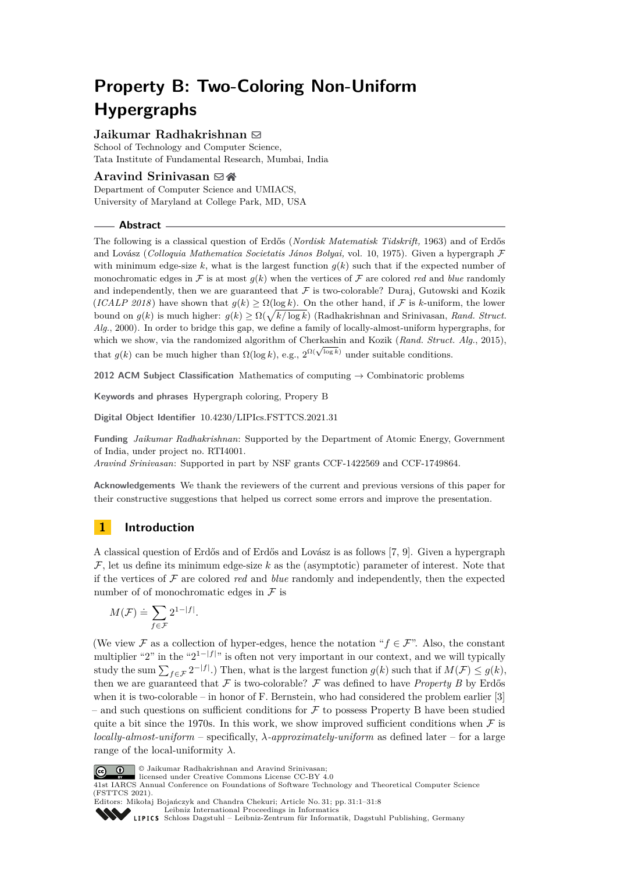# **Property B: Two-Coloring Non-Uniform Hypergraphs**

# **Jaikumar Radhakrishnan** ⊠

School of Technology and Computer Science, Tata Institute of Fundamental Research, Mumbai, India

# **Aravind Srinivasan** ⊠ A

Department of Computer Science and UMIACS, University of Maryland at College Park, MD, USA

**Abstract**

The following is a classical question of Erdős (*Nordisk Matematisk Tidskrift,* 1963) and of Erdős and Lovász (*Colloquia Mathematica Societatis János Bolyai,* vol. 10, 1975). Given a hypergraph F with minimum edge-size  $k$ , what is the largest function  $g(k)$  such that if the expected number of monochromatic edges in F is at most  $q(k)$  when the vertices of F are colored *red* and *blue* randomly and independently, then we are guaranteed that  $\mathcal F$  is two-colorable? Duraj, Gutowski and Kozik  $(ICALP 2018)$  have shown that  $q(k) > \Omega(\log k)$ . On the other hand, if F is *k*-uniform, the lower bound on  $g(k)$  is much higher:  $g(k) \ge \Omega(\sqrt{k/\log k})$  (Radhakrishnan and Srinivasan, *Rand. Struct. Alg.*, 2000). In order to bridge this gap, we define a family of locally-almost-uniform hypergraphs, for which we show, via the randomized algorithm of Cherkashin and Kozik (*Rand. Struct. Alg.*, 2015), which we show, via the randomized algorithm of Cherkashin and Rozik (*Rand. Struct* that  $g(k)$  can be much higher than  $\Omega(\log k)$ , e.g.,  $2^{\Omega(\sqrt{\log k})}$  under suitable conditions.

**2012 ACM Subject Classification** Mathematics of computing → Combinatoric problems

**Keywords and phrases** Hypergraph coloring, Propery B

**Digital Object Identifier** [10.4230/LIPIcs.FSTTCS.2021.31](https://doi.org/10.4230/LIPIcs.FSTTCS.2021.31)

**Funding** *Jaikumar Radhakrishnan*: Supported by the Department of Atomic Energy, Government of India, under project no. RTI4001.

*Aravind Srinivasan*: Supported in part by NSF grants CCF-1422569 and CCF-1749864.

**Acknowledgements** We thank the reviewers of the current and previous versions of this paper for their constructive suggestions that helped us correct some errors and improve the presentation.

# **1 Introduction**

A classical question of Erdős and of Erdős and Lovász is as follows [\[7,](#page-6-0) [9\]](#page-6-1). Given a hypergraph  $\mathcal{F}$ , let us define its minimum edge-size  $k$  as the (asymptotic) parameter of interest. Note that if the vertices of  $\mathcal F$  are colored *red* and *blue* randomly and independently, then the expected number of of monochromatic edges in  $\mathcal F$  is

$$
M(\mathcal{F}) \doteq \sum_{f \in \mathcal{F}} 2^{1-|f|}.
$$

(We view  $\mathcal F$  as a collection of hyper-edges, hence the notation " $f \in \mathcal F$ ". Also, the constant multiplier "2" in the " $2^{1-|f|}$ " is often not very important in our context, and we will typically study the sum  $\sum_{f \in \mathcal{F}} 2^{-|f|}$ .) Then, what is the largest function  $g(k)$  such that if  $M(\mathcal{F}) \leq g(k)$ , then we are guaranteed that F is two-colorable? F was defined to have *Property B* by Erdős when it is two-colorable – in honor of F. Bernstein, who had considered the problem earlier [\[3\]](#page-6-2) – and such questions on sufficient conditions for  $\mathcal F$  to possess Property B have been studied quite a bit since the 1970s. In this work, we show improved sufficient conditions when  $\mathcal F$  is *locally-almost-uniform* – specifically, *λ-approximately-uniform* as defined later – for a large range of the local-uniformity  $\lambda$ .



© Jaikumar Radhakrishnan and Aravind Srinivasan; licensed under Creative Commons License CC-BY 4.0

41st IARCS Annual Conference on Foundations of Software Technology and Theoretical Computer Science (FSTTCS 2021). Editors: Mikołaj Bojańczyk and Chandra Chekuri; Article No. 31; pp. 31:1–31:8

[Leibniz International Proceedings in Informatics](https://www.dagstuhl.de/lipics/) [Schloss Dagstuhl – Leibniz-Zentrum für Informatik, Dagstuhl Publishing, Germany](https://www.dagstuhl.de)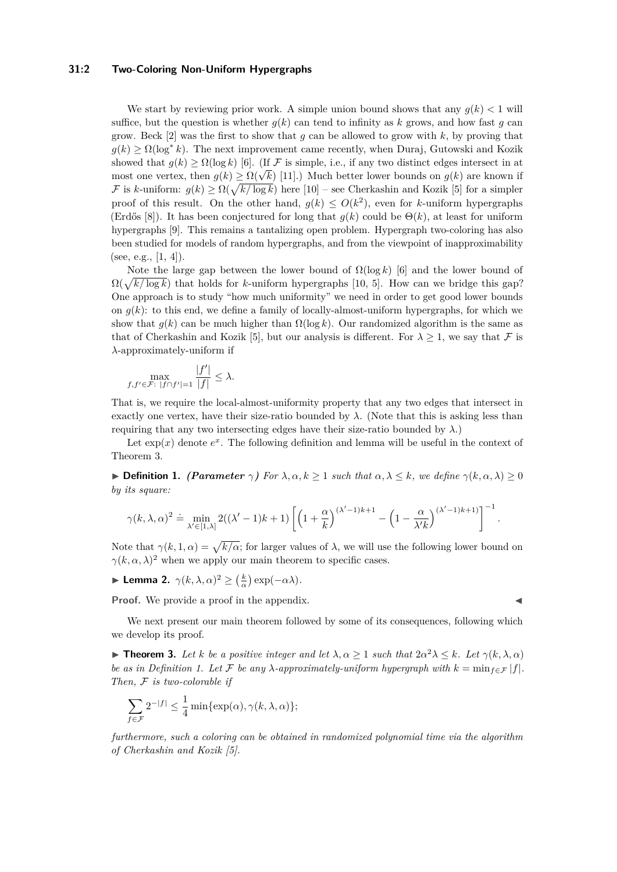#### **31:2 Two-Coloring Non-Uniform Hypergraphs**

We start by reviewing prior work. A simple union bound shows that any  $q(k) < 1$  will suffice, but the question is whether  $g(k)$  can tend to infinity as k grows, and how fast g can grow. Beck [\[2\]](#page-6-3) was the first to show that *g* can be allowed to grow with *k*, by proving that  $g(k) \ge \Omega(\log^* k)$ . The next improvement came recently, when Duraj, Gutowski and Kozik showed that  $g(k) \ge \Omega(\log k)$  [\[6\]](#page-6-4). (If F is simple, i.e., if any two distinct edges intersect in at showed that  $g(\kappa) \ge \Omega(\log \kappa)$  [0]. (If  $\mathcal F$  is simple, i.e., if any two distinct edges intersect in at most one vertex, then  $g(k) \ge \Omega(\sqrt{k})$  [\[11\]](#page-6-5).) Much better lower bounds on  $g(k)$  are known if F is *k*-uniform:  $g(k) \ge \Omega(\sqrt{k/\log k})$  here [\[10\]](#page-6-6) – see Cherkashin and Kozik [\[5\]](#page-6-7) for a simpler proof of this result. On the other hand,  $g(k) \le O(k^2)$ , even for *k*-uniform hypergraphs (Erdős [\[8\]](#page-6-8)). It has been conjectured for long that  $g(k)$  could be  $\Theta(k)$ , at least for uniform hypergraphs [\[9\]](#page-6-1). This remains a tantalizing open problem. Hypergraph two-coloring has also been studied for models of random hypergraphs, and from the viewpoint of inapproximability (see, e.g.,  $[1, 4]$  $[1, 4]$ ).

Note the large gap between the lower bound of  $\Omega(\log k)$  [\[6\]](#page-6-4) and the lower bound of  $\Omega(\sqrt{k/\log k})$  that holds for *k*-uniform hypergraphs [\[10,](#page-6-6) [5\]](#page-6-7). How can we bridge this gap? One approach is to study "how much uniformity" we need in order to get good lower bounds on  $g(k)$ : to this end, we define a family of locally-almost-uniform hypergraphs, for which we show that  $q(k)$  can be much higher than  $\Omega(\log k)$ . Our randomized algorithm is the same as that of Cherkashin and Kozik [\[5\]](#page-6-7), but our analysis is different. For  $\lambda \geq 1$ , we say that F is *λ*-approximately-uniform if

$$
\max_{f, f' \in \mathcal{F}: \ |f \cap f'| = 1} \frac{|f'|}{|f|} \le \lambda.
$$

That is, we require the local-almost-uniformity property that any two edges that intersect in exactly one vertex, have their size-ratio bounded by  $\lambda$ . (Note that this is asking less than requiring that any two intersecting edges have their size-ratio bounded by  $\lambda$ .)

Let  $exp(x)$  denote  $e^x$ . The following definition and lemma will be useful in the context of Theorem [3.](#page-1-0)

<span id="page-1-1"></span>**• Definition 1.** *(Parameter*  $\gamma$ *) For*  $\lambda, \alpha, k \ge 1$  *such that*  $\alpha, \lambda \le k$ *, we define*  $\gamma(k, \alpha, \lambda) \ge 0$ *by its square:*

$$
\gamma(k,\lambda,\alpha)^2 \doteq \min_{\lambda' \in [1,\lambda]} 2((\lambda'-1)k+1) \left[ \left(1+\frac{\alpha}{k}\right)^{(\lambda'-1)k+1} - \left(1-\frac{\alpha}{\lambda'k}\right)^{(\lambda'-1)k+1)} \right]^{-1}.
$$

Note that  $\gamma(k,1,\alpha) = \sqrt{k/\alpha}$ ; for larger values of  $\lambda$ , we will use the following lower bound on  $\gamma(k, \alpha, \lambda)^2$  when we apply our main theorem to specific cases.

<span id="page-1-2"></span>▶ **Lemma 2.**  $\gamma$ (*k*, *λ*, *α*)<sup>2</sup>  $\geq$  ( $\frac{k}{\alpha}$ ) exp(-*αλ*)*.* 

**Proof.** We provide a proof in the appendix.

We next present our main theorem followed by some of its consequences, following which we develop its proof.

<span id="page-1-0"></span>**Find 1. Theorem 3.** Let *k* be a positive integer and let  $\lambda, \alpha \geq 1$  such that  $2\alpha^2 \lambda \leq k$ . Let  $\gamma(k, \lambda, \alpha)$ *be as in Definition [1.](#page-1-1) Let*  $\mathcal F$  *be any*  $\lambda$ *-approximately-uniform hypergraph with*  $k = \min_{f \in \mathcal F} |f|$ *. Then,* F *is two-colorable if*

$$
\sum_{f \in \mathcal{F}} 2^{-|f|} \le \frac{1}{4} \min \{ \exp(\alpha), \gamma(k, \lambda, \alpha) \};
$$

*furthermore, such a coloring can be obtained in randomized polynomial time via the algorithm of Cherkashin and Kozik [\[5\]](#page-6-7).*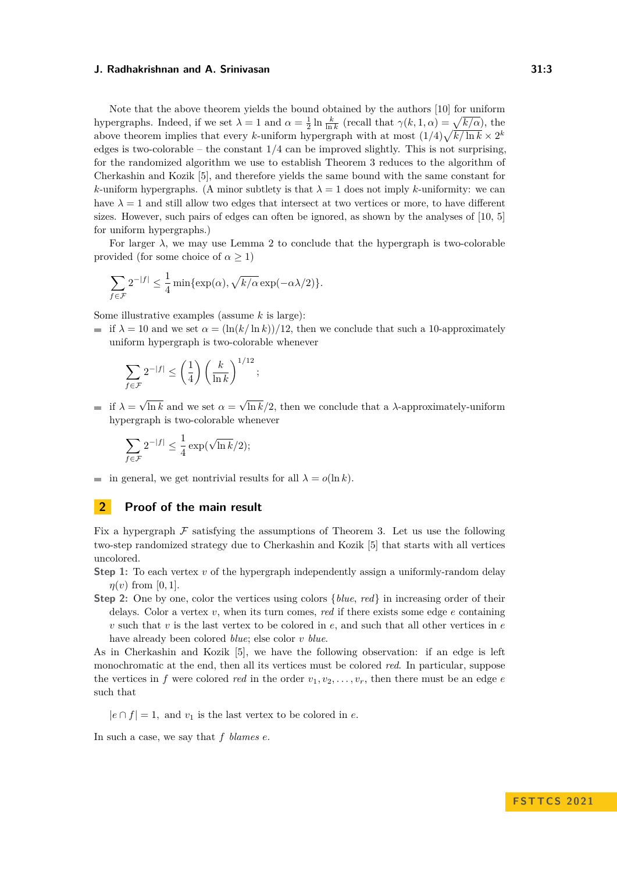#### **J. Radhakrishnan and A. Srinivasan 31:3**

Note that the above theorem yields the bound obtained by the authors [\[10\]](#page-6-6) for uniform hypergraphs. Indeed, if we set  $\lambda = 1$  and  $\alpha = \frac{1}{2} \ln \frac{k}{\ln k}$  (recall that  $\gamma(k, 1, \alpha) = \sqrt{k/\alpha}$ ), the above theorem implies that every *k*-uniform hypergraph with at most  $(1/4)\sqrt{k/\ln k} \times 2^k$ edges is two-colorable – the constant 1*/*4 can be improved slightly. This is not surprising, for the randomized algorithm we use to establish Theorem [3](#page-1-0) reduces to the algorithm of Cherkashin and Kozik [\[5\]](#page-6-7), and therefore yields the same bound with the same constant for  $k$ -uniform hypergraphs. (A minor subtlety is that  $\lambda = 1$  does not imply  $k$ -uniformity: we can have  $\lambda = 1$  and still allow two edges that intersect at two vertices or more, to have different sizes. However, such pairs of edges can often be ignored, as shown by the analyses of [\[10,](#page-6-6) [5\]](#page-6-7) for uniform hypergraphs.)

For larger  $\lambda$ , we may use Lemma [2](#page-1-2) to conclude that the hypergraph is two-colorable provided (for some choice of  $\alpha \geq 1$ )

$$
\sum_{f \in \mathcal{F}} 2^{-|f|} \le \frac{1}{4} \min \{ \exp(\alpha), \sqrt{k/\alpha} \exp(-\alpha \lambda/2) \}.
$$

Some illustrative examples (assume *k* is large):

if  $\lambda = 10$  and we set  $\alpha = (\ln(k/\ln k))/12$ , then we conclude that such a 10-approximately uniform hypergraph is two-colorable whenever

$$
\sum_{f \in \mathcal{F}} 2^{-|f|} \le \left(\frac{1}{4}\right) \left(\frac{k}{\ln k}\right)^{1/12};
$$

if  $\lambda =$ √ ln *k* and we set  $\alpha =$ √ ln  $k/2$ , then we conclude that a  $\lambda$ -approximately-uniform hypergraph is two-colorable whenever

$$
\sum_{f \in \mathcal{F}} 2^{-|f|} \le \frac{1}{4} \exp(\sqrt{\ln k}/2);
$$

in general, we get nontrivial results for all  $\lambda = o(\ln k)$ .

# **2 Proof of the main result**

Fix a hypergraph  $\mathcal F$  satisfying the assumptions of Theorem [3.](#page-1-0) Let us use the following two-step randomized strategy due to Cherkashin and Kozik [\[5\]](#page-6-7) that starts with all vertices uncolored.

- **Step 1:** To each vertex *v* of the hypergraph independently assign a uniformly-random delay  $\eta(v)$  from [0, 1].
- **Step 2:** One by one, color the vertices using colors {*blue*, *red*} in increasing order of their delays. Color a vertex *v*, when its turn comes, *red* if there exists some edge *e* containing  $v$  such that  $v$  is the last vertex to be colored in  $e$ , and such that all other vertices in  $e$ have already been colored *blue*; else color *v blue*.

As in Cherkashin and Kozik [\[5\]](#page-6-7), we have the following observation: if an edge is left monochromatic at the end, then all its vertices must be colored *red*. In particular, suppose the vertices in *f* were colored *red* in the order  $v_1, v_2, \ldots, v_r$ , then there must be an edge *e* such that

 $|e \cap f| = 1$ , and  $v_1$  is the last vertex to be colored in *e*.

In such a case, we say that *f blames e*.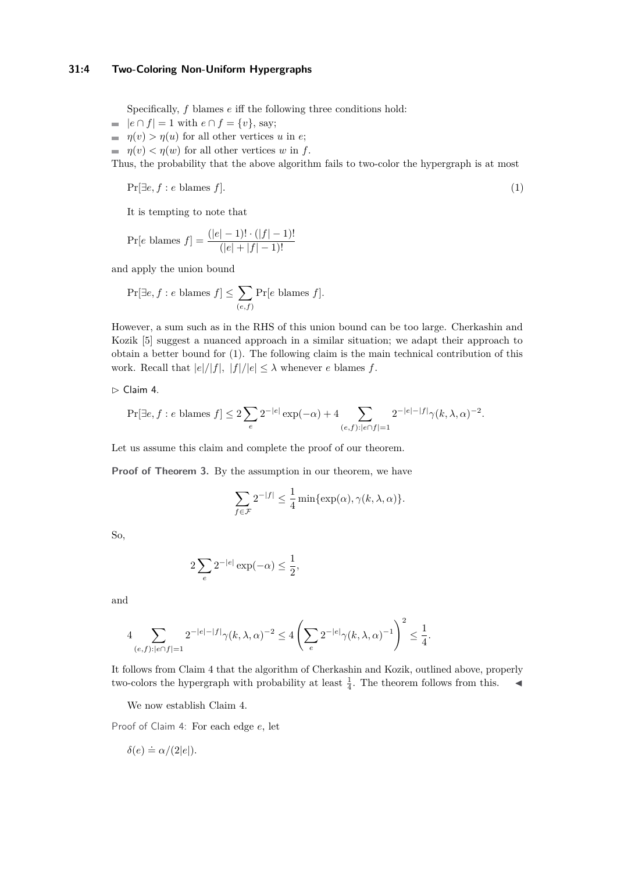Specifically, *f* blames *e* iff the following three conditions hold:

- $|e \cap f| = 1$  with  $e \cap f = \{v\}$ , say;
- $\eta(v) > \eta(u)$  for all other vertices *u* in *e*;
- $\eta(v) < \eta(w)$  for all other vertices *w* in *f*.

Thus, the probability that the above algorithm fails to two-color the hypergraph is at most

<span id="page-3-0"></span>
$$
\Pr[\exists e, f : e \text{ blames } f].\tag{1}
$$

It is tempting to note that

$$
\Pr[e \text{ blames } f] = \frac{(|e| - 1)! \cdot (|f| - 1)!}{(|e| + |f| - 1)!}
$$

and apply the union bound

$$
\Pr[\exists e, f : e \text{ blames } f] \le \sum_{(e,f)} \Pr[e \text{ blames } f].
$$

However, a sum such as in the RHS of this union bound can be too large. Cherkashin and Kozik [\[5\]](#page-6-7) suggest a nuanced approach in a similar situation; we adapt their approach to obtain a better bound for [\(1\)](#page-3-0). The following claim is the main technical contribution of this work. Recall that  $|e|/|f|$ ,  $|f|/|e| \leq \lambda$  whenever *e* blames *f*.

<span id="page-3-1"></span>▷ Claim 4.

$$
\Pr[\exists e, f: e\text{ blames } f] \leq 2\sum_{e} 2^{-|e|} \exp(-\alpha) + 4\sum_{(e,f): |e \cap f| = 1} 2^{-|e|-|f|} \gamma(k,\lambda,\alpha)^{-2}.
$$

Let us assume this claim and complete the proof of our theorem.

**Proof of Theorem [3.](#page-1-0)** By the assumption in our theorem, we have

$$
\sum_{f \in \mathcal{F}} 2^{-|f|} \le \frac{1}{4} \min\{\exp(\alpha), \gamma(k, \lambda, \alpha)\}.
$$

So,

$$
2\sum_{e} 2^{-|e|} \exp(-\alpha) \le \frac{1}{2},
$$

and

$$
4\sum_{(e,f):|e\cap f|=1}2^{-|e|-|f|}\gamma(k,\lambda,\alpha)^{-2}\leq 4\left(\sum_{e}2^{-|e|}\gamma(k,\lambda,\alpha)^{-1}\right)^2\leq \frac{1}{4}.
$$

It follows from Claim [4](#page-3-1) that the algorithm of Cherkashin and Kozik, outlined above, properly two-colors the hypergraph with probability at least  $\frac{1}{4}$ . The theorem follows from this.  $\blacktriangleleft$ 

We now establish Claim [4.](#page-3-1)

Proof of Claim [4:](#page-3-1) For each edge *e*, let

$$
\delta(e) \doteq \alpha/(2|e|).
$$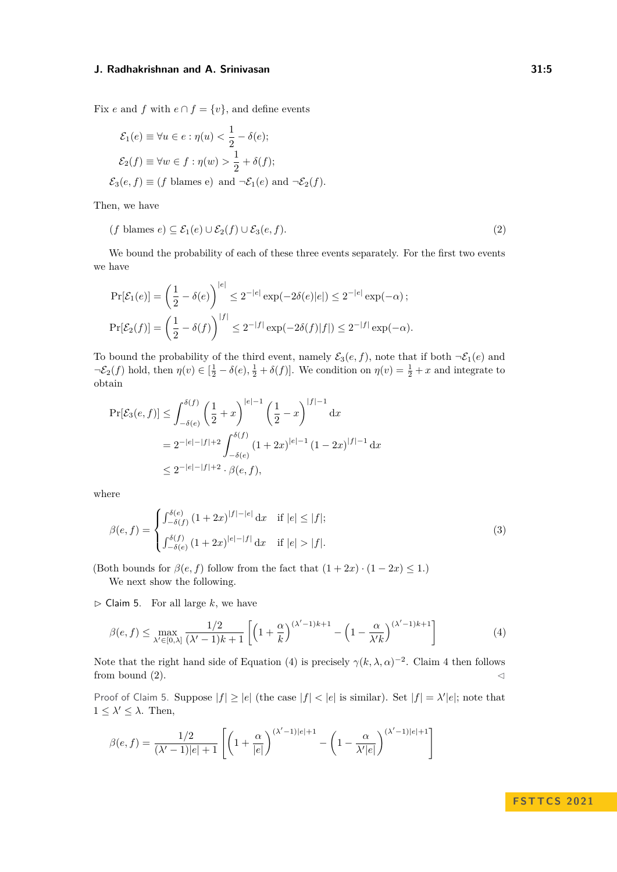#### **J. Radhakrishnan and A. Srinivasan 31:5**

Fix *e* and *f* with  $e \cap f = \{v\}$ , and define events

$$
\mathcal{E}_1(e) \equiv \forall u \in e : \eta(u) < \frac{1}{2} - \delta(e);
$$
\n
$$
\mathcal{E}_2(f) \equiv \forall w \in f : \eta(w) > \frac{1}{2} + \delta(f);
$$
\n
$$
\mathcal{E}_3(e, f) \equiv (f \text{ blames e}) \text{ and } \neg \mathcal{E}_1(e) \text{ and } \neg \mathcal{E}_2(f).
$$

Then, we have

<span id="page-4-1"></span>
$$
(f \text{ blames } e) \subseteq \mathcal{E}_1(e) \cup \mathcal{E}_2(f) \cup \mathcal{E}_3(e, f). \tag{2}
$$

We bound the probability of each of these three events separately. For the first two events we have

$$
\Pr[\mathcal{E}_1(e)] = \left(\frac{1}{2} - \delta(e)\right)^{|e|} \le 2^{-|e|} \exp(-2\delta(e)|e|) \le 2^{-|e|} \exp(-\alpha);
$$
  

$$
\Pr[\mathcal{E}_2(f)] = \left(\frac{1}{2} - \delta(f)\right)^{|f|} \le 2^{-|f|} \exp(-2\delta(f)|f|) \le 2^{-|f|} \exp(-\alpha).
$$

To bound the probability of the third event, namely  $\mathcal{E}_3(e, f)$ , note that if both  $\neg \mathcal{E}_1(e)$  and  $\neg \mathcal{E}_2(f)$  hold, then  $\eta(v) \in [\frac{1}{2} - \delta(e), \frac{1}{2} + \delta(f)]$ . We condition on  $\eta(v) = \frac{1}{2} + x$  and integrate to obtain

$$
\Pr[\mathcal{E}_3(e,f)] \le \int_{-\delta(e)}^{\delta(f)} \left(\frac{1}{2} + x\right)^{|e|-1} \left(\frac{1}{2} - x\right)^{|f|-1} dx
$$
  
=  $2^{-|e|-|f|+2} \int_{-\delta(e)}^{\delta(f)} (1+2x)^{|e|-1} (1-2x)^{|f|-1} dx$   
 $\le 2^{-|e|-|f|+2} \cdot \beta(e,f),$ 

where

$$
\beta(e,f) = \begin{cases} \int_{-\delta(f)}^{\delta(e)} (1+2x)^{|f|-|e|} dx & \text{if } |e| \le |f|; \\ \int_{-\delta(e)}^{\delta(f)} (1+2x)^{|e|-|f|} dx & \text{if } |e| > |f|. \end{cases}
$$
(3)

(Both bounds for  $\beta(e, f)$  follow from the fact that  $(1 + 2x) \cdot (1 - 2x) \le 1$ .)

We next show the following.

<span id="page-4-2"></span> $\triangleright$  Claim 5. For all large *k*, we have

<span id="page-4-0"></span>
$$
\beta(e,f) \le \max_{\lambda' \in [0,\lambda]} \frac{1/2}{(\lambda'-1)k+1} \left[ \left(1+\frac{\alpha}{k}\right)^{(\lambda'-1)k+1} - \left(1-\frac{\alpha}{\lambda'k}\right)^{(\lambda'-1)k+1} \right] \tag{4}
$$

Note that the right hand side of Equation [\(4\)](#page-4-0) is precisely  $\gamma(k, \lambda, \alpha)^{-2}$ . Claim [4](#page-3-1) then follows from bound  $(2)$ .

Proof of Claim [5.](#page-4-2) Suppose  $|f| \ge |e|$  (the case  $|f| < |e|$  is similar). Set  $|f| = \lambda'|e|$ ; note that  $1 \leq \lambda' \leq \lambda$ . Then,

$$
\beta(e,f) = \frac{1/2}{(\lambda'-1)|e|+1} \left[ \left(1+\frac{\alpha}{|e|}\right)^{(\lambda'-1)|e|+1} - \left(1-\frac{\alpha}{\lambda'|e|}\right)^{(\lambda'-1)|e|+1} \right]
$$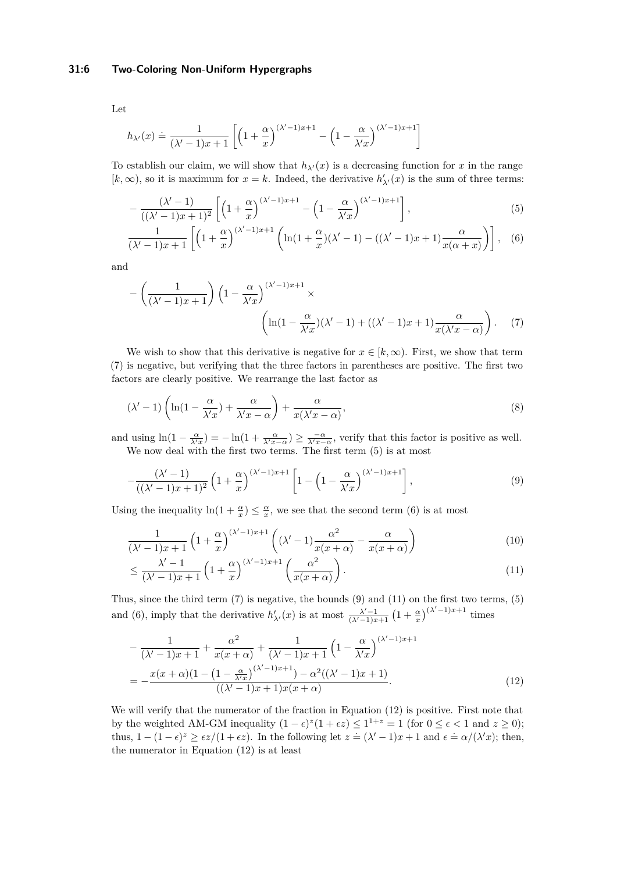### **31:6 Two-Coloring Non-Uniform Hypergraphs**

$$
h_{\lambda'}(x) \doteq \frac{1}{(\lambda'-1)x+1} \left[ \left(1+\frac{\alpha}{x}\right)^{(\lambda'-1)x+1} - \left(1-\frac{\alpha}{\lambda' x}\right)^{(\lambda'-1)x+1} \right]
$$

To establish our claim, we will show that  $h_{\lambda'}(x)$  is a decreasing function for x in the range  $[k, \infty)$ , so it is maximum for  $x = k$ . Indeed, the derivative  $h'_{\lambda'}(x)$  is the sum of three terms:

<span id="page-5-2"></span><span id="page-5-1"></span>
$$
-\frac{(\lambda'-1)}{((\lambda'-1)x+1)^2} \left[ \left(1+\frac{\alpha}{x}\right)^{(\lambda'-1)x+1} - \left(1-\frac{\alpha}{\lambda' x}\right)^{(\lambda'-1)x+1} \right],\tag{5}
$$

$$
\frac{1}{(\lambda'-1)x+1}\left[\left(1+\frac{\alpha}{x}\right)^{(\lambda'-1)x+1}\left(\ln(1+\frac{\alpha}{x})(\lambda'-1)-((\lambda'-1)x+1)\frac{\alpha}{x(\alpha+x)}\right)\right],\quad(6)
$$

and

<span id="page-5-0"></span>
$$
-\left(\frac{1}{(\lambda'-1)x+1}\right)\left(1-\frac{\alpha}{\lambda' x}\right)^{(\lambda'-1)x+1} \times \left(\ln(1-\frac{\alpha}{\lambda' x})(\lambda'-1)+((\lambda'-1)x+1)\frac{\alpha}{x(\lambda' x-\alpha)}\right). \tag{7}
$$

We wish to show that this derivative is negative for  $x \in [k, \infty)$ . First, we show that term [\(7\)](#page-5-0) is negative, but verifying that the three factors in parentheses are positive. The first two factors are clearly positive. We rearrange the last factor as

$$
(\lambda'-1)\left(\ln(1-\frac{\alpha}{\lambda'x})+\frac{\alpha}{\lambda'x-\alpha}\right)+\frac{\alpha}{x(\lambda'x-\alpha)},\tag{8}
$$

and using  $\ln(1 - \frac{\alpha}{\lambda' x}) = -\ln(1 + \frac{\alpha}{\lambda' x - \alpha}) \ge \frac{-\alpha}{\lambda' x - \alpha}$ , verify that this factor is positive as well. We now deal with the first two terms. The first term [\(5\)](#page-5-1) is at most

<span id="page-5-3"></span>
$$
-\frac{(\lambda'-1)}{((\lambda'-1)x+1)^2}\left(1+\frac{\alpha}{x}\right)^{(\lambda'-1)x+1}\left[1-\left(1-\frac{\alpha}{\lambda' x}\right)^{(\lambda'-1)x+1}\right],\tag{9}
$$

Using the inequality  $\ln(1 + \frac{\alpha}{x}) \leq \frac{\alpha}{x}$ , we see that the second term [\(6\)](#page-5-2) is at most

$$
\frac{1}{(\lambda'-1)x+1} \left(1+\frac{\alpha}{x}\right)^{(\lambda'-1)x+1} \left( (\lambda'-1)\frac{\alpha^2}{x(x+\alpha)} - \frac{\alpha}{x(x+\alpha)} \right) \tag{10}
$$

<span id="page-5-4"></span>
$$
\leq \frac{\lambda' - 1}{(\lambda' - 1)x + 1} \left( 1 + \frac{\alpha}{x} \right)^{(\lambda' - 1)x + 1} \left( \frac{\alpha^2}{x(x + \alpha)} \right). \tag{11}
$$

Thus, since the third term [\(7\)](#page-5-0) is negative, the bounds [\(9\)](#page-5-3) and [\(11\)](#page-5-4) on the first two terms, [\(5\)](#page-5-1) and [\(6\)](#page-5-2), imply that the derivative  $h'_{\lambda'}(x)$  is at most  $\frac{\lambda'-1}{(\lambda'-1)x+1} (1+\frac{\alpha}{x})^{(\lambda'-1)x+1}$  times

<span id="page-5-5"></span>
$$
-\frac{1}{(\lambda'-1)x+1} + \frac{\alpha^2}{x(x+\alpha)} + \frac{1}{(\lambda'-1)x+1} \left(1 - \frac{\alpha}{\lambda' x}\right)^{(\lambda'-1)x+1}
$$

$$
= -\frac{x(x+\alpha)(1 - \left(1 - \frac{\alpha}{\lambda' x}\right)^{(\lambda'-1)x+1}) - \alpha^2((\lambda'-1)x+1)}{((\lambda'-1)x+1)x(x+\alpha)}.
$$
(12)

We will verify that the numerator of the fraction in Equation [\(12\)](#page-5-5) is positive. First note that by the weighted AM-GM inequality  $(1 - \epsilon)^{z}(1 + \epsilon z) \leq 1^{1+z} = 1$  (for  $0 \leq \epsilon < 1$  and  $z \geq 0$ ); thus,  $1 - (1 - \epsilon)^z \ge \frac{\epsilon z}{(1 + \epsilon z)}$ . In the following let  $z = (\lambda' - 1)x + 1$  and  $\epsilon = \frac{\alpha}{\lambda'}x$ ; then, the numerator in Equation [\(12\)](#page-5-5) is at least

Let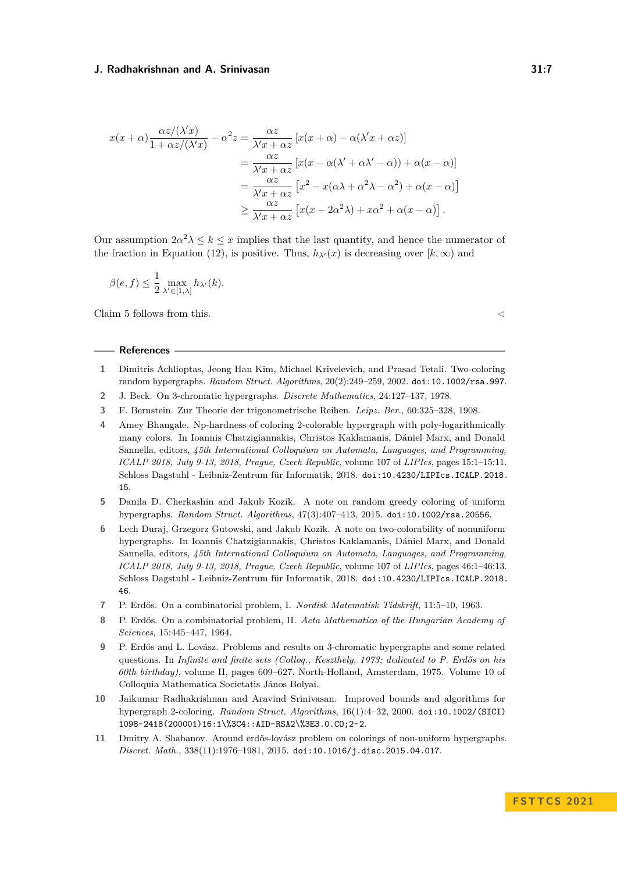#### **J. Radhakrishnan and A. Srinivasan 31:7**

$$
x(x+\alpha)\frac{\alpha z/(\lambda' x)}{1+\alpha z/(\lambda' x)} - \alpha^2 z = \frac{\alpha z}{\lambda' x + \alpha z} [x(x+\alpha) - \alpha(\lambda' x + \alpha z)]
$$
  

$$
= \frac{\alpha z}{\lambda' x + \alpha z} [x(x - \alpha(\lambda' + \alpha \lambda' - \alpha)) + \alpha(x - \alpha)]
$$
  

$$
= \frac{\alpha z}{\lambda' x + \alpha z} [x^2 - x(\alpha \lambda + \alpha^2 \lambda - \alpha^2) + \alpha(x - \alpha)]
$$
  

$$
\geq \frac{\alpha z}{\lambda' x + \alpha z} [x(x - 2\alpha^2 \lambda) + x\alpha^2 + \alpha(x - \alpha)].
$$

Our assumption  $2\alpha^2 \lambda \leq k \leq x$  implies that the last quantity, and hence the numerator of the fraction in Equation [\(12\)](#page-5-5), is positive. Thus,  $h_{\lambda}(x)$  is decreasing over  $[k,\infty)$  and

$$
\beta(e,f) \le \frac{1}{2} \max_{\lambda' \in [1,\lambda]} h_{\lambda'}(k).
$$

Claim [5](#page-4-2) follows from this.  $\triangleleft$ 

#### **References**

- <span id="page-6-9"></span>**1** Dimitris Achlioptas, Jeong Han Kim, Michael Krivelevich, and Prasad Tetali. Two-coloring random hypergraphs. *Random Struct. Algorithms*, 20(2):249–259, 2002. [doi:10.1002/rsa.997](https://doi.org/10.1002/rsa.997).
- <span id="page-6-3"></span>**2** J. Beck. On 3-chromatic hypergraphs. *Discrete Mathematics*, 24:127–137, 1978.
- <span id="page-6-2"></span>**3** F. Bernstein. Zur Theorie der trigonometrische Reihen. *Leipz. Ber.*, 60:325–328, 1908.
- <span id="page-6-10"></span>**4** Amey Bhangale. Np-hardness of coloring 2-colorable hypergraph with poly-logarithmically many colors. In Ioannis Chatzigiannakis, Christos Kaklamanis, Dániel Marx, and Donald Sannella, editors, *45th International Colloquium on Automata, Languages, and Programming, ICALP 2018, July 9-13, 2018, Prague, Czech Republic*, volume 107 of *LIPIcs*, pages 15:1–15:11. Schloss Dagstuhl - Leibniz-Zentrum für Informatik, 2018. [doi:10.4230/LIPIcs.ICALP.2018.](https://doi.org/10.4230/LIPIcs.ICALP.2018.15) [15](https://doi.org/10.4230/LIPIcs.ICALP.2018.15).
- <span id="page-6-7"></span>**5** Danila D. Cherkashin and Jakub Kozik. A note on random greedy coloring of uniform hypergraphs. *Random Struct. Algorithms*, 47(3):407–413, 2015. [doi:10.1002/rsa.20556](https://doi.org/10.1002/rsa.20556).
- <span id="page-6-4"></span>**6** Lech Duraj, Grzegorz Gutowski, and Jakub Kozik. A note on two-colorability of nonuniform hypergraphs. In Ioannis Chatzigiannakis, Christos Kaklamanis, Dániel Marx, and Donald Sannella, editors, *45th International Colloquium on Automata, Languages, and Programming, ICALP 2018, July 9-13, 2018, Prague, Czech Republic*, volume 107 of *LIPIcs*, pages 46:1–46:13. Schloss Dagstuhl - Leibniz-Zentrum für Informatik, 2018. [doi:10.4230/LIPIcs.ICALP.2018.](https://doi.org/10.4230/LIPIcs.ICALP.2018.46) [46](https://doi.org/10.4230/LIPIcs.ICALP.2018.46).
- <span id="page-6-0"></span>**7** P. Erdős. On a combinatorial problem, I. *Nordisk Matematisk Tidskrift*, 11:5–10, 1963.
- <span id="page-6-8"></span>**8** P. Erdős. On a combinatorial problem, II. *Acta Mathematica of the Hungarian Academy of Sciences*, 15:445–447, 1964.
- <span id="page-6-1"></span>**9** P. Erdős and L. Lovász. Problems and results on 3-chromatic hypergraphs and some related questions. In *Infinite and finite sets (Colloq., Keszthely, 1973; dedicated to P. Erdős on his 60th birthday)*, volume II, pages 609–627. North-Holland, Amsterdam, 1975. Volume 10 of Colloquia Mathematica Societatis János Bolyai.
- <span id="page-6-6"></span>**10** Jaikumar Radhakrishnan and Aravind Srinivasan. Improved bounds and algorithms for hypergraph 2-coloring. *Random Struct. Algorithms*, 16(1):4–32, 2000. [doi:10.1002/\(SICI\)](https://doi.org/10.1002/(SICI)1098-2418(200001)16:1%3C4::AID-RSA2%3E3.0.CO;2-2) [1098-2418\(200001\)16:1\%3C4::AID-RSA2\%3E3.0.CO;2-2](https://doi.org/10.1002/(SICI)1098-2418(200001)16:1%3C4::AID-RSA2%3E3.0.CO;2-2).
- <span id="page-6-5"></span>**11** Dmitry A. Shabanov. Around erdős-lovász problem on colorings of non-uniform hypergraphs. *Discret. Math.*, 338(11):1976–1981, 2015. [doi:10.1016/j.disc.2015.04.017](https://doi.org/10.1016/j.disc.2015.04.017).